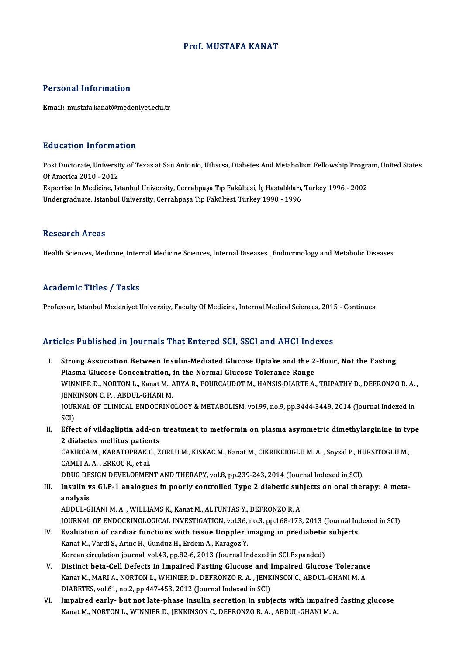## Prof.MUSTAFA KANAT

## Personal Information

Email: mustafa.kanat@medeniyet.edu.tr

### Education Information

Education Information<br>Post Doctorate, University of Texas at San Antonio, Uthscsa, Diabetes And Metabolism Fellowship Program, United States<br>Of America 2010, 2012 Post Doctorate, Universit<br>Of America 2010 - 2012<br>Expertise In Medicine, Ist Post Doctorate, University of Texas at San Antonio, Uthscsa, Diabetes And Metabolism Fellowship Program<br>Of America 2010 - 2012<br>Expertise In Medicine, Istanbul University, Cerrahpaşa Tıp Fakültesi, İç Hastalıkları, Turkey 1 Of America 2010 - 2012<br>Expertise In Medicine, Istanbul University, Cerrahpaşa Tıp Fakültesi, İç Hastalıkları, Turkey 1996 - 2002<br>Undergraduate, Istanbul University, Cerrahpaşa Tıp Fakültesi, Turkey 1990 - 1996

### **Research Areas**

Health Sciences, Medicine, Internal Medicine Sciences, Internal Diseases, Endocrinology and Metabolic Diseases

### Academic Titles / Tasks

Professor, Istanbul Medeniyet University, Faculty Of Medicine, Internal Medical Sciences, 2015 - Continues

## Articles Published in Journals That Entered SCI, SSCI and AHCI Indexes

- I. Strong Association Between Insulin-Mediated Glucose Uptake and the 2-Hour, Not the Fasting Plasma Glucose Concentration, in the Enterton Bellin Churcose Uptake and the 2<br>Plasma Glucose Concentration, in the Normal Glucose Tolerance Range<br>WINNIER D. NORTON L. Kanat M. ARVA R. FOURCAUDOT M. HANSIS DIARTE A Strong Association Between Insulin-Mediated Glucose Uptake and the 2-Hour, Not the Fasting<br>Plasma Glucose Concentration, in the Normal Glucose Tolerance Range<br>WINNIER D., NORTON L., Kanat M., ARYA R., FOURCAUDOT M., HANSIS Plasma Glucose Concentration,<br>WINNIER D., NORTON L., Kanat M., A<br>JENKINSON C. P. , ABDUL-GHANI M.<br>JOUPNAL OF CLINICAL ENDOCRING WINNIER D., NORTON L., Kanat M., ARYA R., FOURCAUDOT M., HANSIS-DIARTE A., TRIPATHY D., DEFRONZO R. A.<br>JENKINSON C. P. , ABDUL-GHANI M.<br>JOURNAL OF CLINICAL ENDOCRINOLOGY & METABOLISM, vol.99, no.9, pp.3444-3449, 2014 (Jour JENKINSON C. P. , ABDUL-GHANI M.<br>JOURNAL OF CLINICAL ENDOCRINOLOGY & METABOLISM, vol.99, no.9, pp.3444-3449, 2014 (Journal Indexed in<br>SCI) JOURNAL OF CLINICAL ENDOCRINOLOGY & METABOLISM, vol.99, no.9, pp.3444-3449, 2014 (Journal Indexed in<br>SCI)<br>II. Effect of vildagliptin add-on treatment to metformin on plasma asymmetric dimethylarginine in type<br>2 diabates me
- SCI)<br>Effect of vildagliptin add-on<br>2 diabetes mellitus patients<br>CAKIRCA M. KARATOPRAK C. 7 Effect of vildagliptin add-on treatment to metformin on plasma asymmetric dimethylarginine in ty<br>2 diabetes mellitus patients<br>CAKIRCA M., KARATOPRAK C., ZORLU M., KISKAC M., Kanat M., CIKRIKCIOGLU M. A. , Soysal P., HURSIT

2 diabetes mellitus patier<br>CAKIRCA M., KARATOPRAK (<br>CAMLI A. A. , ERKOC R., et al.<br>PRUC DESICN DEVELOPMEN CAKIRCA M., KARATOPRAK C., ZORLU M., KISKAC M., Kanat M., CIKRIKCIOGLU M. A. , Soysal P., HU<br>CAMLI A. A. , ERKOC R., et al.<br>DRUG DESIGN DEVELOPMENT AND THERAPY, vol.8, pp.239-243, 2014 (Journal Indexed in SCI)<br>Insulin Vs G

## CAMLI A. A. , ERKOC R., et al.<br>DRUG DESIGN DEVELOPMENT AND THERAPY, vol.8, pp.239-243, 2014 (Journal Indexed in SCI)<br>III. Insulin vs GLP-1 analogues in poorly controlled Type 2 diabetic subjects on oral therapy: A meta DRUG DESIGN DEVELOPMENT AND THERAPY, vol.8, pp.239-243, 2014 (Journal Indexed in SCI)<br>Insulin vs GLP-1 analogues in poorly controlled Type 2 diabetic subjects on oral the<br>analysis<br>ABDUL-GHANI M. A., WILLIAMS K., Kanat M., Insulin vs GLP-1 analogues in poorly controlled Type 2 diabetic sub<br>analysis<br>ABDUL-GHANI M. A. , WILLIAMS K., Kanat M., ALTUNTAS Y., DEFRONZO R. A.<br>JOUPMAL OF ENDOCRINOLOGICAL INVESTICATION vol26 no 2 nn 169 172

JOURNAL OF ENDOCRINOLOGICAL INVESTIGATION, vol.36, no.3, pp.168-173, 2013 (Journal Indexed in SCI) ABDUL-GHANI M. A., WILLIAMS K., Kanat M., ALTUNTAS Y., DEFRONZO R. A.<br>JOURNAL OF ENDOCRINOLOGICAL INVESTIGATION, vol.36, no.3, pp.168-173, 2013 (Journal Inc<br>IV. Evaluation of cardiac functions with tissue Doppler imaging i

- JOURNAL OF ENDOCRINOLOGICAL INVESTIGATION, vol.36,<br>**Evaluation of cardiac functions with tissue Doppler i**<br>Kanat M., Vardi S., Arinc H., Gunduz H., Erdem A., Karagoz Y.<br>Kanaan sinsulation journal vol.43, np.92, 6, 2012 (Jo Evaluation of cardiac functions with tissue Doppler imaging in prediabetic<br>Kanat M., Vardi S., Arinc H., Gunduz H., Erdem A., Karagoz Y.<br>Korean circulation journal, vol.43, pp.82-6, 2013 (Journal Indexed in SCI Expanded)<br>D Kanat M., Vardi S., Arinc H., Gunduz H., Erdem A., Karagoz Y.<br>Korean circulation journal, vol.43, pp.82-6, 2013 (Journal Indexed in SCI Expanded)<br>V. Distinct beta-Cell Defects in Impaired Fasting Glucose and Impaired Gluco
- Korean circulation journal, vol.43, pp.82-6, 2013 (Journal Indexed in SCI Expanded)<br>Distinct beta-Cell Defects in Impaired Fasting Glucose and Impaired Glucose Tolerance<br>Kanat M., MARI A., NORTON L., WHINIER D., DEFRONZO R Distinct beta-Cell Defects in Impaired Fasting Glucose and I<br>Kanat M., MARI A., NORTON L., WHINIER D., DEFRONZO R. A. , JENK<br>DIABETES, vol.61, no.2, pp.447-453, 2012 (Journal Indexed in SCI)<br>Impaired early, but not late ph Kanat M., MARI A., NORTON L., WHINIER D., DEFRONZO R. A. , JENKINSON C., ABDUL-GHANI M. A.<br>DIABETES, vol.61, no.2, pp.447-453, 2012 (Journal Indexed in SCI)<br>VI. Impaired early- but not late-phase insulin secretion in subje
- DIABETES, vol.61, no.2, pp.447-453, 2012 (Journal Indexed in SCI)<br>I<mark>mpaired early- but not late-phase insulin secretion in subjects with impaired</mark><br>Kanat M., NORTON L., WINNIER D., JENKINSON C., DEFRONZO R. A. , ABDUL-GHANI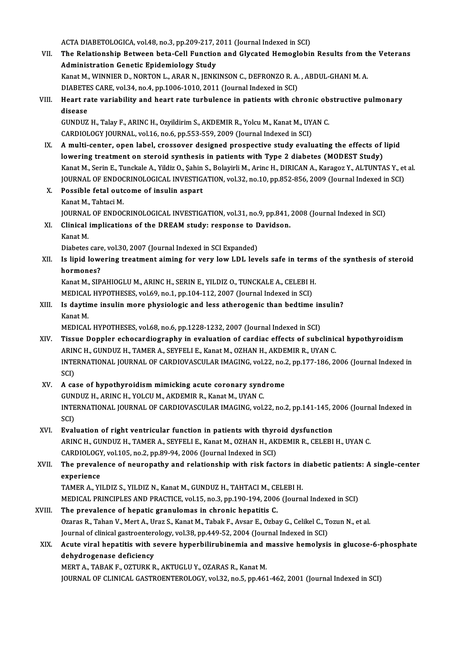ACTA DIABETOLOGICA, vol.48, no.3, pp.209-217, 2011 (Journal Indexed in SCI)

ACTA DIABETOLOGICA, vol.48, no.3, pp.209-217, 2011 (Journal Indexed in SCI)<br>VII. The Relationship Between beta-Cell Function and Glycated Hemoglobin Results from the Veterans<br>Administration Constic Enidemiclesy Study ACTA DIABETOLOGICA, vol.48, no.3, pp.209-217, 2<br>The Relationship Between beta-Cell Function<br>Administration Genetic Epidemiology Study<br>Kanat M. WINNIER D. NORTON L. ARAB N. JENK The Relationship Between beta-Cell Function and Glycated Hemoglobin Results from the Administration Genetic Epidemiology Study<br>Kanat M., WINNIER D., NORTON L., ARAR N., JENKINSON C., DEFRONZO R. A. , ABDUL-GHANI M. A.<br>DIAB Administration Genetic Epidemiology Study<br>Kanat M., WINNIER D., NORTON L., ARAR N., JENKINSON C., DEFRONZO R. A. , ABDUL-GHANI M. A.<br>DIABETES CARE, vol.34, no.4, pp.1006-1010, 2011 (Journal Indexed in SCI) Kanat M., WINNIER D., NORTON L., ARAR N., JENKINSON C., DEFRONZO R. A. , ABDUL-GHANI M. A.<br>DIABETES CARE, vol.34, no.4, pp.1006-1010, 2011 (Journal Indexed in SCI)<br>VIII. Heart rate variability and heart rate turbulence in disease<br>GUNDUZ H., Talay F., ARINC H., Ozyildirim S., AKDEMIR R., Yolcu M., Kanat M., UYAN C. Heart rate variability and heart rate turbulence in patients with chronic ob<br>disease<br>GUNDUZ H., Talay F., ARINC H., Ozyildirim S., AKDEMIR R., Yolcu M., Kanat M., UYAN C.<br>CARDIQLOCY JOURNAL, val 16, no 6, np 552, 559, 2009 CARDIOLOGY JOURNAL, vol.16, no.6, pp.553-559, 2009 (Journal Indexed in SCI) GUNDUZ H., Talay F., ARINC H., Ozyildirim S., AKDEMIR R., Yolcu M., Kanat M., UYAN C.<br>CARDIOLOGY JOURNAL, vol.16, no.6, pp.553-559, 2009 (Journal Indexed in SCI)<br>IX. A multi-center, open label, crossover designed prospecti CARDIOLOGY JOURNAL, vol.16, no.6, pp.553-559, 2009 (Journal Indexed in SCI)<br>A multi-center, open label, crossover designed prospective study evaluating the effects of<br>Jowering treatment on steroid synthesis in patients wit A multi-center, open label, crossover designed prospective study evaluating the effects of lipid<br>lowering treatment on steroid synthesis in patients with Type 2 diabetes (MODEST Study)<br>Kanat M., Serin E., Tunckale A., Yild lowering treatment on steroid synthesis in patients with Type 2 diabetes (MODEST Study)<br>Kanat M., Serin E., Tunckale A., Yildiz O., Şahin S., Bolayirli M., Arinc H., DIRICAN A., Karagoz Y., ALTUNTAS Y., et al.<br>JOURNAL OF E Kanat M., Serin E., Tunckale A., Yildiz O., Şahin<br>JOURNAL OF ENDOCRINOLOGICAL INVESTIG.<br>X. Possible fetal outcome of insulin aspart<br>Kanat M. Tabtagi M. **JOURNAL OF ENDOC<br>Possible fetal out<br>Kanat M., Tahtaci M.<br>JOUPNAL OF ENDOC** Kanat M., Tahtaci M.<br>JOURNAL OF ENDOCRINOLOGICAL INVESTIGATION, vol.31, no.9, pp.841, 2008 (Journal Indexed in SCI) Kanat M., Tahtaci M.<br>JOURNAL OF ENDOCRINOLOGICAL INVESTIGATION, vol.31, no.9, pp.841,<br>XI. Clinical implications of the DREAM study: response to Davidson.<br>Kanat M JOURNAL<br>Clinical<br>Kanat M.<br>Disbates Clinical implications of the DREAM study: response to D<br>Kanat M.<br>Diabetes care, vol.30, 2007 (Journal Indexed in SCI Expanded)<br>Is linid lowering treatment siming for your low LDL low Kanat M.<br>Diabetes care, vol.30, 2007 (Journal Indexed in SCI Expanded)<br>XII. Is lipid lowering treatment aiming for very low LDL levels safe in terms of the synthesis of steroid<br>hormones? Diabetes care<br>Is lipid lowe<br>hormones?<br>Kanat M. SIP Is lipid lowering treatment aiming for very low LDL levels safe in terms<br>hormones?<br>Kanat M., SIPAHIOGLU M., ARINC H., SERIN E., YILDIZ O., TUNCKALE A., CELEBI H.<br>MEDICAL HYPOTHESES vol.69 no.1 nn.104.112.2007 (Journal Indo hormones?<br>Kanat M., SIPAHIOGLU M., ARINC H., SERIN E., YILDIZ O., TUNCKALE A., CELEBI H<br>MEDICAL HYPOTHESES, vol.69, no.1, pp.104-112, 2007 (Journal Indexed in SCI)<br>Is daytime insulin more physiologic and less atheresenis t Kanat M., SIPAHIOGLU M., ARINC H., SERIN E., YILDIZ O., TUNCKALE A., CELEBI H.<br>MEDICAL HYPOTHESES, vol.69, no.1, pp.104-112, 2007 (Journal Indexed in SCI)<br>XIII. Is daytime insulin more physiologic and less atherogenic than MEDICAL<br>Is daytir<br>Kanat M.<br>MEDICAL Is daytime insulin more physiologic and less atherogenic than bedtime in<br>Kanat M.<br>MEDICAL HYPOTHESES, vol.68, no.6, pp.1228-1232, 2007 (Journal Indexed in SCI)<br>Tissue Donnlar esbesardiorranhy in evoluction of sardins effec Kanat M.<br>MEDICAL HYPOTHESES, vol.68, no.6, pp.1228-1232, 2007 (Journal Indexed in SCI)<br>XIV. Tissue Doppler echocardiography in evaluation of cardiac effects of subclinical hypothyroidism<br>APINC H. CUNDUZ H. TAMER A. SEV MEDICAL HYPOTHESES, vol.68, no.6, pp.1228-1232, 2007 (Journal Indexed in SCI)<br>Tissue Doppler echocardiography in evaluation of cardiac effects of subclinic<br>ARINC H., GUNDUZ H., TAMER A., SEYFELI E., Kanat M., OZHAN H., AKD Tissue Doppler echocardiography in evaluation of cardiac effects of subclinical hypothyroidism<br>ARINC H., GUNDUZ H., TAMER A., SEYFELI E., Kanat M., OZHAN H., AKDEMIR R., UYAN C.<br>INTERNATIONAL JOURNAL OF CARDIOVASCULAR IMAG ARIN<br>INTE<br>SCI)<br>A. 33 INTERNATIONAL JOURNAL OF CARDIOVASCULAR IMAGING, vol.22, no.<br>SCI)<br>XV. A case of hypothyroidism mimicking acute coronary syndrome<br>CUNDUZ H ARING H VOLGUM AEDEMIR R Kanat M UVAN C SCI)<br>A case of hypothyroidism mimicking acute coronary synd<br>GUNDUZ H., ARINC H., YOLCU M., AKDEMIR R., Kanat M., UYAN C.<br>INTERNATIONAL JOURNAL OF CARDIOVASCULAR IMAGING ......] A case of hypothyroidism mimicking acute coronary syndrome<br>GUNDUZ H., ARINC H., YOLCU M., AKDEMIR R., Kanat M., UYAN C.<br>INTERNATIONAL JOURNAL OF CARDIOVASCULAR IMAGING, vol.22, no.2, pp.141-145, 2006 (Journal Indexed in<br>SC GUN<br>INTE<br>SCI)<br>Eval INTERNATIONAL JOURNAL OF CARDIOVASCULAR IMAGING, vol.22, no.2, pp.141-145, 2<br>SCI)<br>XVI. Evaluation of right ventricular function in patients with thyroid dysfunction<br>APING H. CUNDUZ H. TAMER A. SEVEELLE *Vanst M. QZHAN H. A* SCI)<br>Evaluation of right ventricular function in patients with thyroid dysfunction<br>ARINC H., GUNDUZ H., TAMER A., SEYFELI E., Kanat M., OZHAN H., AKDEMIR R., CELEBI H., UYAN C.<br>CARDIOLOGY, vol.105, no.2, pp.89-94, 2006 (Jo XVI. Evaluation of right ventricular function in patients with thyroid dysfunction ARINC H., GUNDUZ H., TAMER A., SEYFELI E., Kanat M., OZHAN H., AKDEMIR R., CELEBI H., UYAN C.<br>CARDIOLOGY, vol.105, no.2, pp.89-94, 2006 (Journal Indexed in SCI)<br>XVII. The prevalence of neuropathy and relationship with risk CARDIOLOGY<br>The prevale<br>experience<br>TAMEP A VI The prevalence of neuropathy and relationship with risk factors in (<br>experience<br>TAMER A., YILDIZ S., YILDIZ N., Kanat M., GUNDUZ H., TAHTACI M., CELEBI H.<br>MEDICAL PRINCIPLES AND PRACTICE vol.15, no.2, np.190,194,2006 (Jour experience<br>TAMER A., YILDIZ S., YILDIZ N., Kanat M., GUNDUZ H., TAHTACI M., CELEBI H.<br>MEDICAL PRINCIPLES AND PRACTICE, vol.15, no.3, pp.190-194, 2006 (Journal Indexed in SCI)<br>The prevelence of benatis grapulomes in chronic TAMER A., YILDIZ S., YILDIZ N., Kanat M., GUNDUZ H., TAHTACI M., CELEBI H.<br>MEDICAL PRINCIPLES AND PRACTICE, vol.15, no.3, pp.190-194, 2006 (Journa<br>XVIII. The prevalence of hepatic granulomas in chronic hepatitis C. MEDICAL PRINCIPLES AND PRACTICE, vol.15, no.3, pp.190-194, 2006 (Journal Indexed in SCI)<br>The prevalence of hepatic granulomas in chronic hepatitis C.<br>Ozaras R., Tahan V., Mert A., Uraz S., Kanat M., Tabak F., Avsar E., Ozb Ozaras R., Tahan V., Mert A., Uraz S., Kanat M., Tabak F., Avsar E., Ozbay G., Celikel C., Tozun N., et al. XIX. Acute viral hepatitis with severe hyperbilirubinemia andmassive hemolysis in glucose-6-phosphate Journal of clinical gastroenterology, vol.38, pp.449-52, 2004 (Journal Indexed in SCI) MERTA.,TABAKF.,OZTURKR.,AKTUGLUY.,OZARASR.,KanatM. JOURNAL OF CLINICAL GASTROENTEROLOGY, vol.32, no.5, pp.461-462, 2001 (Journal Indexed in SCI)